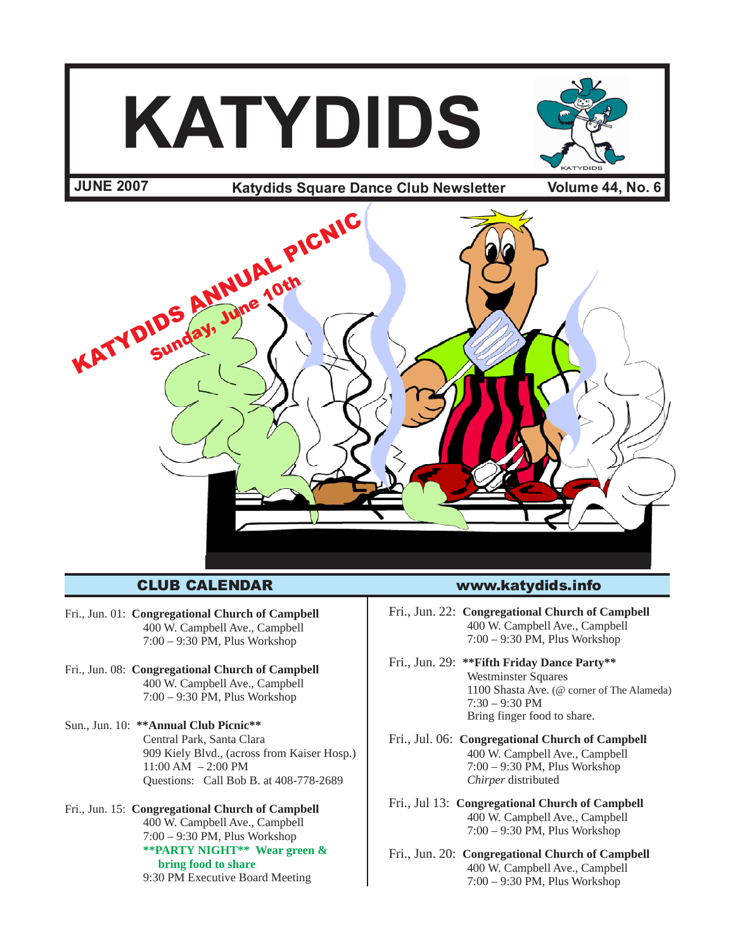

Fri., Jun. 01: **Congregational Church of Campbell** 400 W. Campbell Ave., Campbell 7:00 – 9:30 PM, Plus Workshop

- Fri., Jun. 08: **Congregational Church of Campbell** 400 W. Campbell Ave., Campbell 7:00 – 9:30 PM, Plus Workshop
- Sun., Jun. 10: **\*\*Annual Club Picnic\*\*** Central Park, Santa Clara 909 Kiely Blvd., (across from Kaiser Hosp.) 11:00 AM – 2:00 PM Questions: Call Bob B. at 408-778-2689
- Fri., Jun. 15: **Congregational Church of Campbell** 400 W. Campbell Ave., Campbell 7:00 – 9:30 PM, Plus Workshop **\*\*PARTY NIGHT\*\* Wear green & bring food to share** 9:30 PM Executive Board Meeting

#### CLUB CALENDAR www.katydids.info

Fri., Jun. 22: **Congregational Church of Campbell** 400 W. Campbell Ave., Campbell 7:00 – 9:30 PM, Plus Workshop

- Fri., Jun. 29: **\*\*Fifth Friday Dance Party\*\*** Westminster Squares 1100 Shasta Ave. (@ corner of The Alameda) 7:30 – 9:30 PM Bring finger food to share.
- Fri., Jul. 06: **Congregational Church of Campbell** 400 W. Campbell Ave., Campbell 7:00 – 9:30 PM, Plus Workshop *Chirper* distributed
- Fri., Jul 13: **Congregational Church of Campbell** 400 W. Campbell Ave., Campbell 7:00 – 9:30 PM, Plus Workshop
- Fri., Jun. 20: **Congregational Church of Campbell** 400 W. Campbell Ave., Campbell 7:00 – 9:30 PM, Plus Workshop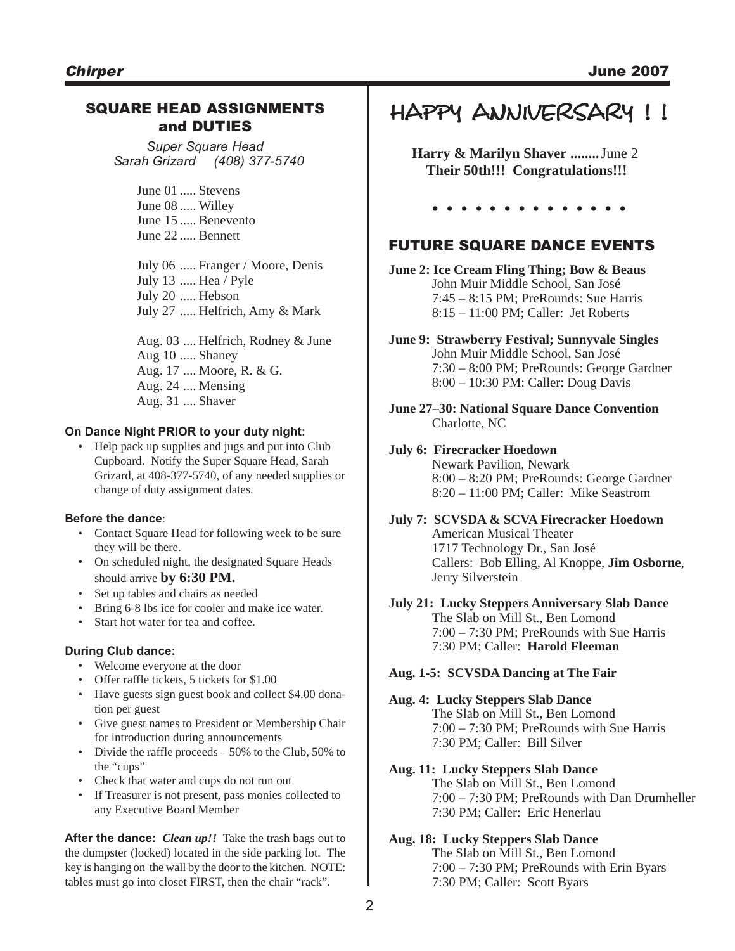#### SQUARE HEAD ASSIGNMENTS and DUTIES

*Super Square Head Sarah Grizard (408) 377-5740*

> June 01 ..... Stevens June 08 ..... Willey June 15 ..... Benevento June 22 ..... Bennett

July 06 ..... Franger / Moore, Denis July 13 ..... Hea / Pyle July 20 ..... Hebson July 27 ..... Helfrich, Amy & Mark

Aug. 03 .... Helfrich, Rodney & June Aug 10 ..... Shaney Aug. 17 .... Moore, R. & G. Aug. 24 .... Mensing Aug. 31 .... Shaver

#### **On Dance Night PRIOR to your duty night:**

• Help pack up supplies and jugs and put into Club Cupboard. Notify the Super Square Head, Sarah Grizard, at 408-377-5740, of any needed supplies or change of duty assignment dates.

#### **Before the dance**:

- Contact Square Head for following week to be sure they will be there.
- On scheduled night, the designated Square Heads should arrive **by 6:30 PM.**
- Set up tables and chairs as needed
- Bring 6-8 lbs ice for cooler and make ice water.
- Start hot water for tea and coffee.

#### **During Club dance:**

- Welcome everyone at the door
- Offer raffle tickets, 5 tickets for \$1.00
- Have guests sign guest book and collect \$4.00 donation per guest
- Give guest names to President or Membership Chair for introduction during announcements
- Divide the raffle proceeds 50% to the Club, 50% to the "cups"
- Check that water and cups do not run out
- If Treasurer is not present, pass monies collected to any Executive Board Member

**After the dance:** *Clean up!!* Take the trash bags out to the dumpster (locked) located in the side parking lot. The key is hanging on the wall by the door to the kitchen. NOTE: tables must go into closet FIRST, then the chair "rack".

## HAPPY ANNIVERSARY !!

**Harry & Marilyn Shaver ........**June 2  **Their 50th!!! Congratulations!!!**

**. . . . . . . . . . . . . .**

#### FUTURE SQUARE DANCE EVENTS

**June 2: Ice Cream Fling Thing; Bow & Beaus** John Muir Middle School, San José 7:45 – 8:15 PM; PreRounds: Sue Harris 8:15 – 11:00 PM; Caller: Jet Roberts

**June 9: Strawberry Festival; Sunnyvale Singles** John Muir Middle School, San José 7:30 – 8:00 PM; PreRounds: George Gardner 8:00 – 10:30 PM: Caller: Doug Davis

**June 27–30: National Square Dance Convention** Charlotte, NC

#### **July 6: Firecracker Hoedown**

Newark Pavilion, Newark 8:00 – 8:20 PM; PreRounds: George Gardner 8:20 – 11:00 PM; Caller: Mike Seastrom

**July 7: SCVSDA & SCVA Firecracker Hoedown** American Musical Theater 1717 Technology Dr., San José Callers: Bob Elling, Al Knoppe, **Jim Osborne**, Jerry Silverstein

#### **July 21: Lucky Steppers Anniversary Slab Dance** The Slab on Mill St., Ben Lomond 7:00 – 7:30 PM; PreRounds with Sue Harris 7:30 PM; Caller: **Harold Fleeman**

#### **Aug. 1-5: SCVSDA Dancing at The Fair**

#### **Aug. 4: Lucky Steppers Slab Dance**

The Slab on Mill St., Ben Lomond 7:00 – 7:30 PM; PreRounds with Sue Harris 7:30 PM; Caller: Bill Silver

#### **Aug. 11: Lucky Steppers Slab Dance**

The Slab on Mill St., Ben Lomond 7:00 – 7:30 PM; PreRounds with Dan Drumheller 7:30 PM; Caller: Eric Henerlau

#### **Aug. 18: Lucky Steppers Slab Dance**

The Slab on Mill St., Ben Lomond 7:00 – 7:30 PM; PreRounds with Erin Byars 7:30 PM; Caller: Scott Byars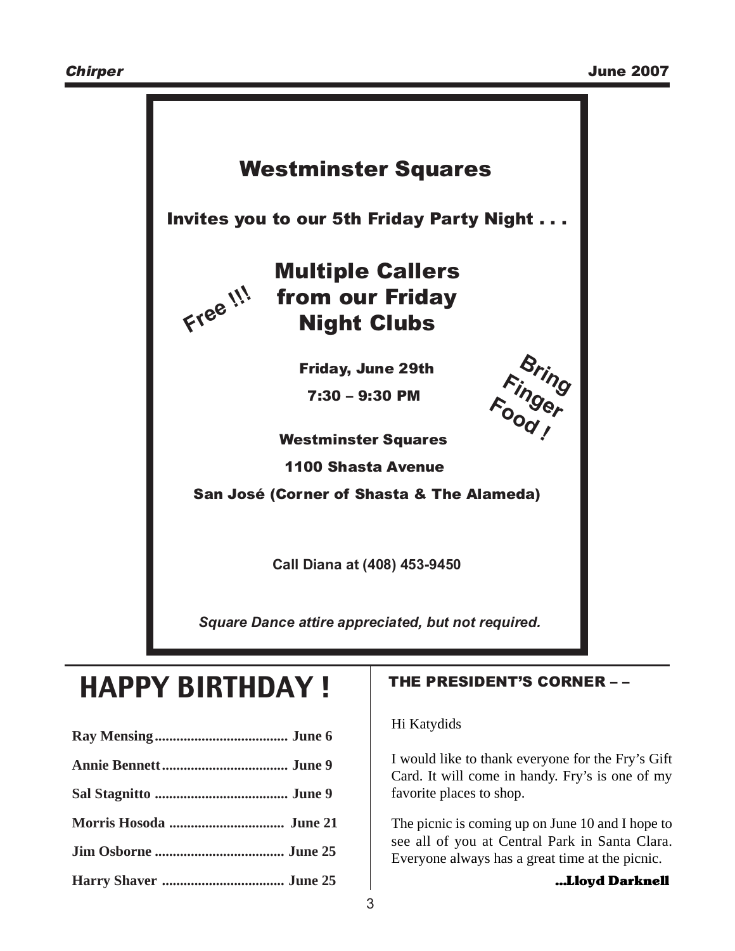

*Square Dance attire appreciated, but not required.*

# HAPPY BIRTHDAY !

### THE PRESIDENT'S CORNER – –

Hi Katydids

I would like to thank everyone for the Fry's Gift Card. It will come in handy. Fry's is one of my favorite places to shop.

The picnic is coming up on June 10 and I hope to see all of you at Central Park in Santa Clara. Everyone always has a great time at the picnic.

**Harry Shaver .................................. June 25** …Lloyd Darknell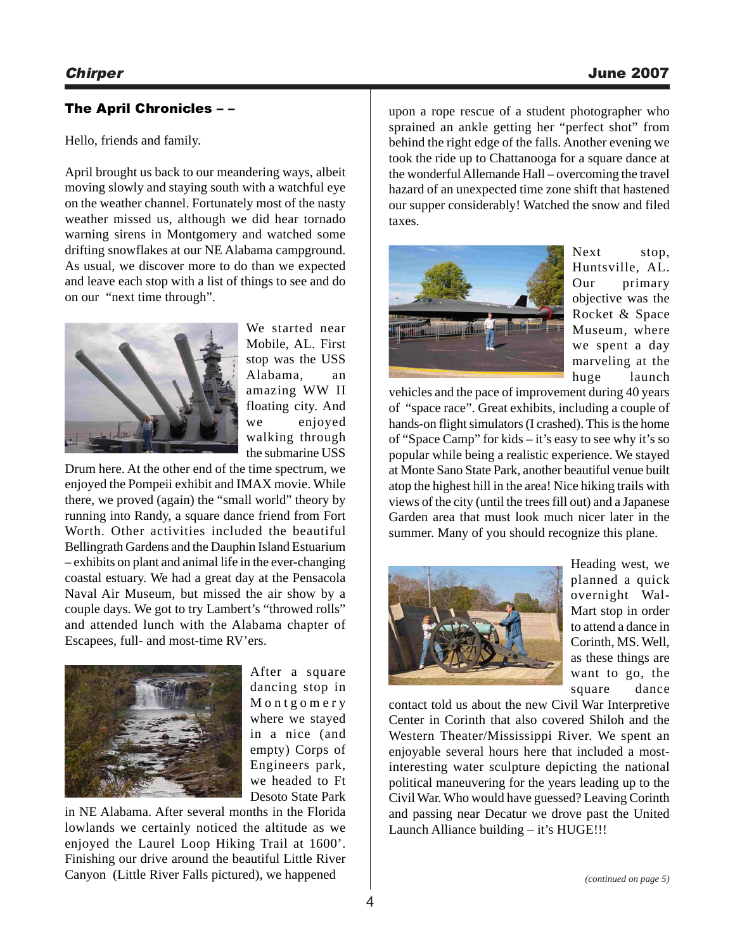#### The April Chronicles – –

Hello, friends and family.

April brought us back to our meandering ways, albeit moving slowly and staying south with a watchful eye on the weather channel. Fortunately most of the nasty weather missed us, although we did hear tornado warning sirens in Montgomery and watched some drifting snowflakes at our NE Alabama campground. As usual, we discover more to do than we expected and leave each stop with a list of things to see and do on our "next time through".



We started near Mobile, AL. First stop was the USS Alabama, an amazing WW II floating city. And we enjoyed walking through the submarine USS

Drum here. At the other end of the time spectrum, we enjoyed the Pompeii exhibit and IMAX movie. While there, we proved (again) the "small world" theory by running into Randy, a square dance friend from Fort Worth. Other activities included the beautiful Bellingrath Gardens and the Dauphin Island Estuarium – exhibits on plant and animal life in the ever-changing coastal estuary. We had a great day at the Pensacola Naval Air Museum, but missed the air show by a couple days. We got to try Lambert's "throwed rolls" and attended lunch with the Alabama chapter of Escapees, full- and most-time RV'ers.



After a square dancing stop in Montgomery where we stayed in a nice (and empty) Corps of Engineers park, we headed to Ft Desoto State Park

in NE Alabama. After several months in the Florida lowlands we certainly noticed the altitude as we enjoyed the Laurel Loop Hiking Trail at 1600'. Finishing our drive around the beautiful Little River Canyon (Little River Falls pictured), we happened

upon a rope rescue of a student photographer who sprained an ankle getting her "perfect shot" from behind the right edge of the falls. Another evening we took the ride up to Chattanooga for a square dance at the wonderful Allemande Hall – overcoming the travel hazard of an unexpected time zone shift that hastened our supper considerably! Watched the snow and filed taxes.



Next stop, Huntsville, AL. Our primary objective was the Rocket & Space Museum, where we spent a day marveling at the huge launch

vehicles and the pace of improvement during 40 years of "space race". Great exhibits, including a couple of hands-on flight simulators (I crashed). This is the home of "Space Camp" for kids – it's easy to see why it's so popular while being a realistic experience. We stayed at Monte Sano State Park, another beautiful venue built atop the highest hill in the area! Nice hiking trails with views of the city (until the trees fill out) and a Japanese Garden area that must look much nicer later in the summer. Many of you should recognize this plane.



Heading west, we planned a quick overnight Wal-Mart stop in order to attend a dance in Corinth, MS. Well, as these things are want to go, the square dance

contact told us about the new Civil War Interpretive Center in Corinth that also covered Shiloh and the Western Theater/Mississippi River. We spent an enjoyable several hours here that included a mostinteresting water sculpture depicting the national political maneuvering for the years leading up to the Civil War. Who would have guessed? Leaving Corinth and passing near Decatur we drove past the United Launch Alliance building – it's HUGE!!!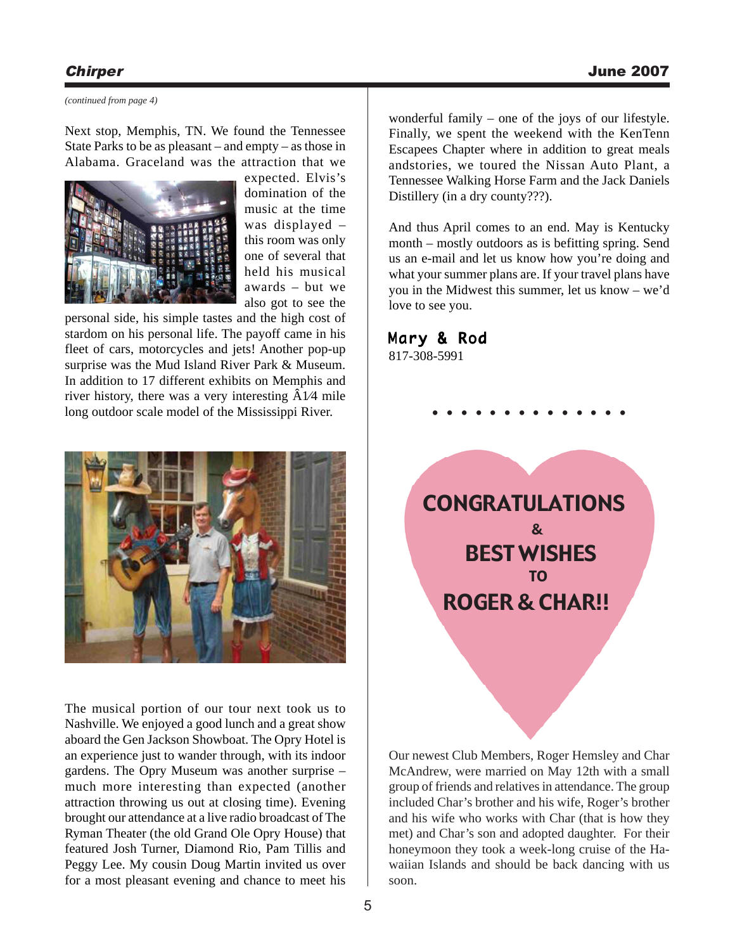*(continued from page 4)*

Next stop, Memphis, TN. We found the Tennessee State Parks to be as pleasant – and empty – as those in Alabama. Graceland was the attraction that we

![](_page_4_Picture_4.jpeg)

expected. Elvis's domination of the music at the time was displayed – this room was only one of several that held his musical awards – but we also got to see the

personal side, his simple tastes and the high cost of stardom on his personal life. The payoff came in his fleet of cars, motorcycles and jets! Another pop-up surprise was the Mud Island River Park & Museum. In addition to 17 different exhibits on Memphis and river history, there was a very interesting  $A1/4$  mile long outdoor scale model of the Mississippi River.

![](_page_4_Picture_7.jpeg)

The musical portion of our tour next took us to Nashville. We enjoyed a good lunch and a great show aboard the Gen Jackson Showboat. The Opry Hotel is an experience just to wander through, with its indoor gardens. The Opry Museum was another surprise – much more interesting than expected (another attraction throwing us out at closing time). Evening brought our attendance at a live radio broadcast of The Ryman Theater (the old Grand Ole Opry House) that featured Josh Turner, Diamond Rio, Pam Tillis and Peggy Lee. My cousin Doug Martin invited us over for a most pleasant evening and chance to meet his

wonderful family – one of the joys of our lifestyle. Finally, we spent the weekend with the KenTenn Escapees Chapter where in addition to great meals andstories, we toured the Nissan Auto Plant, a Tennessee Walking Horse Farm and the Jack Daniels Distillery (in a dry county???).

And thus April comes to an end. May is Kentucky month – mostly outdoors as is befitting spring. Send us an e-mail and let us know how you're doing and what your summer plans are. If your travel plans have you in the Midwest this summer, let us know – we'd love to see you.

### Mary & Rod

817-308-5991

![](_page_4_Picture_13.jpeg)

**. . . . . . . . . . . . . .**

Our newest Club Members, Roger Hemsley and Char McAndrew, were married on May 12th with a small group of friends and relatives in attendance. The group included Char's brother and his wife, Roger's brother and his wife who works with Char (that is how they met) and Char's son and adopted daughter. For their honeymoon they took a week-long cruise of the Hawaiian Islands and should be back dancing with us soon.